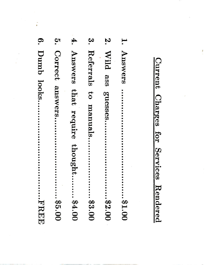| O.         | $\mathbf{c}$      | 4.                   | <u>مع</u>                   | Z.                  | $\mathbf{H}$ |
|------------|-------------------|----------------------|-----------------------------|---------------------|--------------|
| Dumb looks | Correct           | Answers              | Referrals to                | Wild<br>8S8         | Answers      |
| HHHHH      | answers<br>.95.00 | that require thought | manuals<br>$\ldots$ . 83.00 | guesses<br>00.23.00 | <br>00.18    |
|            |                   | 94.00                |                             |                     |              |

 $\ddot{\phantom{0}}$ 

Current Charges for Services Rendered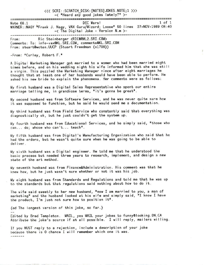((( SCRI::SCRATCH DISK: [N0TES] J0KES. N0TE;1 )))  $-C$  "Heard any good jokes lately?" >-

| Note 68.1 | DEC Wars!<br>WARNER::NAGY "Frank J. Nagy, VAX Guru/Wizard; Loose" 50 lines 27-NOV-1989 08:40<br>$-\zeta$ The Digital Joke - Version N.m $\rangle$ - | $1$ of $1$ |
|-----------|-----------------------------------------------------------------------------------------------------------------------------------------------------|------------|
| From:     | Ric Steinberger <ricorml2.sri.com><br/><math>\mathcal{C}</math> is the said CDT COU special AVI CDT COU</ricorml2.sri.com>                          |            |

Comments: To: info-vaxOKL.SRI.COM, comments0Kl. SRL COM From: stuart@wotan.UUCP (Stuart Freedman {x1708})

-From: "Curley, Robert F."

A Digital Marketing Manager got married to a women who had been married eight times before, and on his wedding night his wife informed him that she was still a virgin. This puzzled the Marketing Manager since after eight marriages he thought that at least one of her husbands would have been able to perform. He asked his new bride to explain the phenomena. Her comments were as follows:

My first husband was a Digital Sales Representative who spenb our entire marriage telling me, in grandiose terms, "it's gonna be great".

My second husband was from Software Services, and he was never quite sure how it was supposed to function, but he said he would send me a documentation

My third husband was from Field Service who constantly said that everything was diaqnostically ok, but he just couldn't get the system up.

My fourth husband was from Educational Services, and he simply said, "those who can... do; whose who can't... teach".

My fifth husband was from Digital's Manufacburing Organizabion who said that he had the orders, but he wasn't quite sure when he was going to be able to

My sixth husband was a Digibal engineer. He told me that he understood the basic process but needed three years to research, implement, and design a new state of the art method.

My seventh husband was from Finance&Adninistration. His comnent was that he knew how, but he just uasn't sure whether or not it was his job.

My eight husband was from Standards and Regulations and told me that he was up to the standards but that regulations said nothing about how to do it.

The wife said sweetly to her new husband, "now I am married to you, a man of marketing" and the husband looked at his wife and simply said, "I know I have the product,  $I'm$  just not sure how to position it".

{ed The longest version of this joke, so far.}

Edited by Brad Templeton. MAIL, yes MAIL your jokes to funny@looking.ON.CA Attribute the joke's source if at all possible. I will reply, mailers willing.

If you MUST reply to a rejection, include a description of your joke because there is 0 chance I will remember which one it was.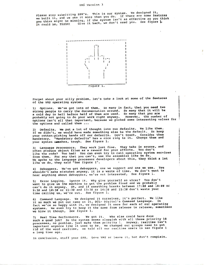## VMS Version 3

Please stop submitting SPR's. This is our system. We designed it, we built it, and we use it more than you do. If there are some features you think might be missing, if the system isn't as effective as you think<br>it could be, TOUGH! Give it back, we don't need you. See figure 1. it could be, TOUGH!



Forget about your silly problem, let's take a look at some of the features of the VMS operating system.

1) Options. We've got lots of them. So many in fact, that you need two strong people to carry the documentation around. So many that it will be<br>a cold day in hell before half of them are used. So many that it will be<br>probably not going to do your work right anyway. However, the number of options isn't all that important, because we picked some interesting values for the options and called them ...

2) Defaults. We put a lot of thought into our defaults. We like them. If we didn't, we would have made something else be the default. So keep your cotton-picking hands off our defaults. Don't touch. Consider them mandatory. "Mandatory defaults" has a nice ring to it. Change them and your system creshes, tough. See figure 1.

3) Language Processors. They work just fine. They take in source, and<br>often produce object files as a reward for your efforts. You don't<br>like the code? Too bad! You can even try to call operating system services from them. For any that you can't, use the assembler like we do. We spoke to the language processor developers about this, they think a lot<br>like we do, they said "See figure 1".

4) Debuggers. We've got debuggers, one we support and one we use. You shouldn't make mistakes anyway, it is a waste of time. We don't want to<br>hear anything about debuggers, we're not interested, See figure 1.

5) Error Logging. Ignore it. Why give yourself an ulcer? You don't<br>want to give us the machine to get the problem fixed and we probably can't do it anyway. Oh, and if something breaks between 17:00 and 18:00 or 9:30 and 10:30 or 11:30 and 13:30 or 14:30 and 15:30 don't waste your time calling us, we're out. See figure 1.

6) Command Language. We designed it ourselves, it's perfect. We like it so much we put our name on it, DCL- Digital's Command Language. In fact we're so happy with it, we designed it once for each of our operating systems. We even try to keep it the same from release to release, sometimes we blow it though, See figure 1.

7) Real Time Performance. We got it. Who else could have done such a good job? So the system seems sluggish with all those priority 18 processes, no problem, just make them priority 1. Anyway, realtime isn't<br>important anymore like it used to be. We changed our groups name to get rid of the word realtime, we told all our realtime users to see figure 1 a long time ago.

In conclusion, stuff your SPR. Love VMS or leave it, but don't complain.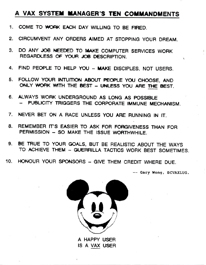## A VAX SYSTEM MANAGER'S TEN COMMANDMENTS

- 1. COME TO WORK EACH DAY WILLING TO BE FIRED.
- 2. CIRCUMVENT ANY ORDERS AIMED AT STOPPING YOUR DREAM.
- 3. DO ANY JOB NEEDED TO MAKE COMPUTER SERVICES WORK REGARDLESS OF YOUR JOB DESCRIPTION.
- 4. FIND PEOPLE TO HELP YOU MAKE DISCIPLES, NOT USERS.
- 5. FOLLOW YOUR INTUITION ABOUT PEOPLE YOU CHOOSE, AND ONLY WORK WITH THE BEST - UNLESS YOU ARE THE BEST.
- 6. ALWAYS WORK UNDERGROUND AS LONG AS POSSIBLE -- PUBLICITY TRIGGERS THE CORPORATE IMMUNE MECHANISM.
- NEVER BET ON A RACE UNLESS YOU ARE RUNNING IN IT.  $\overline{7}$ .
- REMEMBER IT'S EASIER TO ASK FOR FORGIVENESS THAN FOR 8. PERMISSION - SO MAKE THE ISSUE WORTHWHILE.
- 9. BE TRUE TO YOUR GOALS, BUT BE REALISTIC ABOUT THE WAYS TO ACHIEVE THEM - GUERRILLA TACTICS WORK BEST SOMETIMES.
- 10. HONOUR YOUR SPONSORS GIVE THEM CREDIT WHERE DUE.

-- Gary Wong, BCVAXLUG.



A HAPPY USER IS A VAX USER